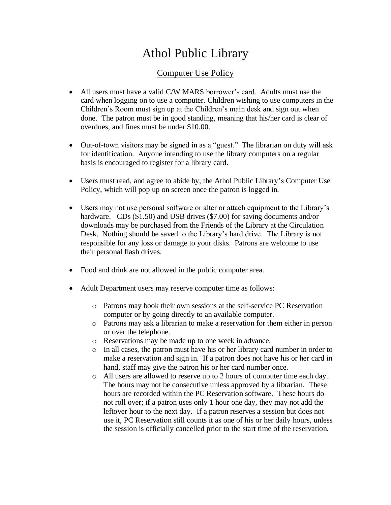## Athol Public Library

## Computer Use Policy

- All users must have a valid C/W MARS borrower's card. Adults must use the card when logging on to use a computer. Children wishing to use computers in the Children's Room must sign up at the Children's main desk and sign out when done. The patron must be in good standing, meaning that his/her card is clear of overdues, and fines must be under \$10.00.
- Out-of-town visitors may be signed in as a "guest." The librarian on duty will ask for identification. Anyone intending to use the library computers on a regular basis is encouraged to register for a library card.
- Users must read, and agree to abide by, the Athol Public Library's Computer Use Policy, which will pop up on screen once the patron is logged in.
- Users may not use personal software or alter or attach equipment to the Library's hardware. CDs (\$1.50) and USB drives (\$7.00) for saving documents and/or downloads may be purchased from the Friends of the Library at the Circulation Desk. Nothing should be saved to the Library's hard drive. The Library is not responsible for any loss or damage to your disks. Patrons are welcome to use their personal flash drives.
- Food and drink are not allowed in the public computer area.
- Adult Department users may reserve computer time as follows:
	- o Patrons may book their own sessions at the self-service PC Reservation computer or by going directly to an available computer.
	- o Patrons may ask a librarian to make a reservation for them either in person or over the telephone.
	- o Reservations may be made up to one week in advance.
	- o In all cases, the patron must have his or her library card number in order to make a reservation and sign in. If a patron does not have his or her card in hand, staff may give the patron his or her card number once.
	- o All users are allowed to reserve up to 2 hours of computer time each day. The hours may not be consecutive unless approved by a librarian. These hours are recorded within the PC Reservation software. These hours do not roll over; if a patron uses only 1 hour one day, they may not add the leftover hour to the next day. If a patron reserves a session but does not use it, PC Reservation still counts it as one of his or her daily hours, unless the session is officially cancelled prior to the start time of the reservation.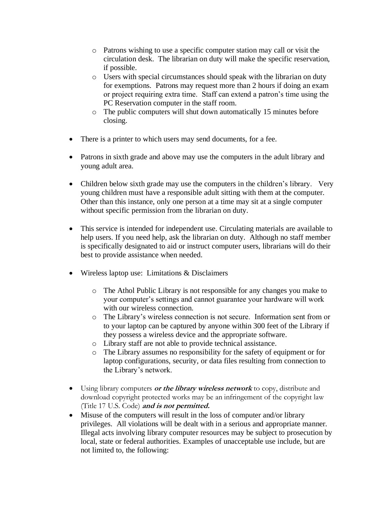- o Patrons wishing to use a specific computer station may call or visit the circulation desk. The librarian on duty will make the specific reservation, if possible.
- o Users with special circumstances should speak with the librarian on duty for exemptions. Patrons may request more than 2 hours if doing an exam or project requiring extra time. Staff can extend a patron's time using the PC Reservation computer in the staff room.
- o The public computers will shut down automatically 15 minutes before closing.
- There is a printer to which users may send documents, for a fee.
- Patrons in sixth grade and above may use the computers in the adult library and young adult area.
- Children below sixth grade may use the computers in the children's library. Very young children must have a responsible adult sitting with them at the computer. Other than this instance, only one person at a time may sit at a single computer without specific permission from the librarian on duty.
- This service is intended for independent use. Circulating materials are available to help users. If you need help, ask the librarian on duty. Although no staff member is specifically designated to aid or instruct computer users, librarians will do their best to provide assistance when needed.
- Wireless laptop use: Limitations & Disclaimers
	- o The Athol Public Library is not responsible for any changes you make to your computer's settings and cannot guarantee your hardware will work with our wireless connection.
	- o The Library's wireless connection is not secure. Information sent from or to your laptop can be captured by anyone within 300 feet of the Library if they possess a wireless device and the appropriate software.
	- o Library staff are not able to provide technical assistance.
	- o The Library assumes no responsibility for the safety of equipment or for laptop configurations, security, or data files resulting from connection to the Library's network.
- Using library computers **or the library wireless network** to copy, distribute and download copyright protected works may be an infringement of the copyright law (Title 17 U.S. Code) **and is not permitted.**
- Misuse of the computers will result in the loss of computer and/or library privileges. All violations will be dealt with in a serious and appropriate manner. Illegal acts involving library computer resources may be subject to prosecution by local, state or federal authorities. Examples of unacceptable use include, but are not limited to, the following: